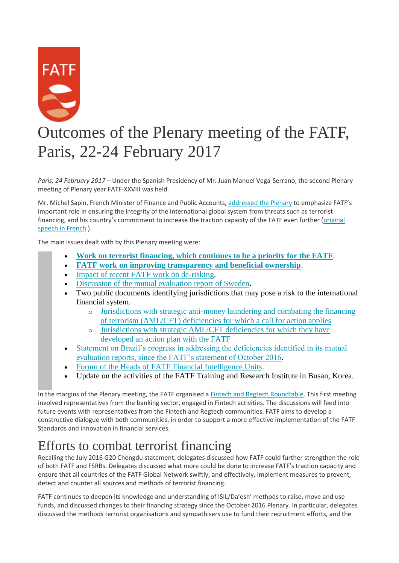

# Outcomes of the Plenary meeting of the FATF, Paris, 22-24 February 2017

*Paris, 24 February 2017* – Under the Spanish Presidency of Mr. Juan Manuel Vega-Serrano, the second Plenary meeting of Plenary year FATF-XXVIII was held.

Mr. Michel Sapin, French Minister of Finance and Public Accounts, addressed [the Plenary](http://www.fatf-gafi.org/media/fatf/documents/speeches/Discours-Michel-Sapin-Pl%C3%A9ni%C3%A8re-fev-2017-FIN_EN%20.pdf) to emphasize FATF's important role in ensuring the integrity of the international global system from threats such as terrorist financing, and his country's commitment to increase the traction capacity of the FATF even further ([original](http://www.fatf-gafi.org/media/fatf/documents/speeches/Discours-Michel-Sapin-Pleniere-GAFI-fevrier-2017-FIN.pdf)  [speech in French](http://www.fatf-gafi.org/media/fatf/documents/speeches/Discours-Michel-Sapin-Pleniere-GAFI-fevrier-2017-FIN.pdf) ).

The main issues dealt with by this Plenary meeting were:

- **[Work on terrorist financing, which continues to be a priority for the FATF](http://www.fatf-gafi.org/publications/fatfgeneral/documents/outcomes-plenary-february-2017.html#TF)**.
- **[FATF work on improving transparency and beneficial ownership](http://www.fatf-gafi.org/publications/fatfgeneral/documents/outcomes-plenary-february-2017.html#bo)**.
- [Impact of recent FATF work on de-risking.](http://www.fatf-gafi.org/publications/fatfgeneral/documents/outcomes-plenary-february-2017.html#derisking)
- [Discussion of the mutual evaluation report of Sweden.](http://www.fatf-gafi.org/publications/fatfgeneral/documents/outcomes-plenary-february-2017.html#Sweden)
- Two public documents identifying jurisdictions that may pose a risk to the international financial system.
	- o [Jurisdictions with strategic anti-money laundering and combating the financing](http://www.fatf-gafi.org/publications/high-riskandnon-cooperativejurisdictions/documents/public-statement-february-2017.html)  [of terrorism \(AML/CFT\) deficiencies for which a call for action applies](http://www.fatf-gafi.org/publications/high-riskandnon-cooperativejurisdictions/documents/public-statement-february-2017.html)
	- o [Jurisdictions with strategic AML/CFT deficiencies for which they have](http://www.fatf-gafi.org/publications/high-riskandnon-cooperativejurisdictions/documents/fatf-compliance-february-2017.html)  [developed an action plan with the FATF](http://www.fatf-gafi.org/publications/high-riskandnon-cooperativejurisdictions/documents/fatf-compliance-february-2017.html)
- [Statement on Brazil's progress in addressing the deficiencies identified in its mutual](http://www.fatf-gafi.org/publications/fatfgeneral/documents/outcomes-plenary-february-2017.html#Brazil)  [evaluation reports, since the FATF's statement of October 2016.](http://www.fatf-gafi.org/publications/fatfgeneral/documents/outcomes-plenary-february-2017.html#Brazil)
- [Forum of the Heads of FATF Financial Intelligence Units.](http://www.fatf-gafi.org/publications/fatfgeneral/documents/outcomes-plenary-february-2017.html#FIu)
- Update on the activities of the FATF Training and Research Institute in Busan, Korea.

In the margins of the Plenary meeting, the FATF organised a [Fintech and Regtech Roundtable.](http://www.fatf-gafi.org/publications/fatfrecommendations/documents/fintech-february-2017.html) This first meeting involved representatives from the banking sector, engaged in Fintech activities. The discussions will feed into future events with representatives from the Fintech and Regtech communities. FATF aims to develop a constructive dialogue with both communities, in order to support a more effective implementation of the FATF Standards and innovation in financial services.

#### Efforts to combat terrorist financing

Recalling the July 2016 G20 Chengdu statement, delegates discussed how FATF could further strengthen the role of both FATF and FSRBs. Delegates discussed what more could be done to increase FATF's traction capacity and ensure that all countries of the FATF Global Network swiftly, and effectively, implement measures to prevent, detect and counter all sources and methods of terrorist financing.

FATF continues to deepen its knowledge and understanding of ISIL/Da'esh' methods to raise, move and use funds, and discussed changes to their financing strategy since the October 2016 Plenary. In particular, delegates discussed the methods terrorist organisations and sympathisers use to fund their recruitment efforts, and the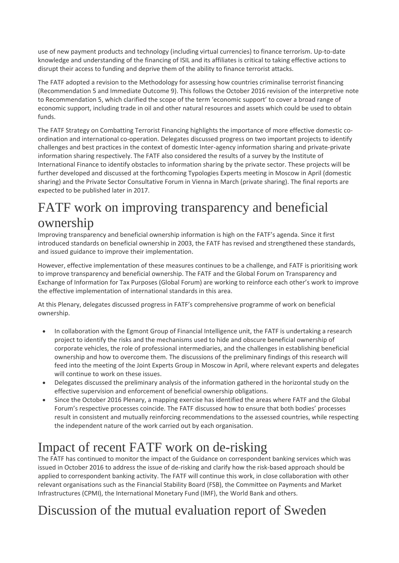use of new payment products and technology (including virtual currencies) to finance terrorism. Up-to-date knowledge and understanding of the financing of ISIL and its affiliates is critical to taking effective actions to disrupt their access to funding and deprive them of the ability to finance terrorist attacks.

The FATF adopted a revision to the Methodology for assessing how countries criminalise terrorist financing (Recommendation 5 and Immediate Outcome 9). This follows the October 2016 revision of the interpretive note to Recommendation 5, which clarified the scope of the term 'economic support' to cover a broad range of economic support, including trade in oil and other natural resources and assets which could be used to obtain funds.

The FATF Strategy on Combatting Terrorist Financing highlights the importance of more effective domestic coordination and international co-operation. Delegates discussed progress on two important projects to identify challenges and best practices in the context of domestic Inter-agency information sharing and private-private information sharing respectively. The FATF also considered the results of a survey by the Institute of International Finance to identify obstacles to information sharing by the private sector. These projects will be further developed and discussed at the forthcoming Typologies Experts meeting in Moscow in April (domestic sharing) and the Private Sector Consultative Forum in Vienna in March (private sharing). The final reports are expected to be published later in 2017.

#### FATF work on improving transparency and beneficial ownership

Improving transparency and beneficial ownership information is high on the FATF's agenda. Since it first introduced standards on beneficial ownership in 2003, the FATF has revised and strengthened these standards, and issued guidance to improve their implementation.

However, effective implementation of these measures continues to be a challenge, and FATF is prioritising work to improve transparency and beneficial ownership. The FATF and the Global Forum on Transparency and Exchange of Information for Tax Purposes (Global Forum) are working to reinforce each other's work to improve the effective implementation of international standards in this area.

At this Plenary, delegates discussed progress in FATF's comprehensive programme of work on beneficial ownership.

- In collaboration with the Egmont Group of Financial Intelligence unit, the FATF is undertaking a research project to identify the risks and the mechanisms used to hide and obscure beneficial ownership of corporate vehicles, the role of professional intermediaries, and the challenges in establishing beneficial ownership and how to overcome them. The discussions of the preliminary findings of this research will feed into the meeting of the Joint Experts Group in Moscow in April, where relevant experts and delegates will continue to work on these issues.
- Delegates discussed the preliminary analysis of the information gathered in the horizontal study on the effective supervision and enforcement of beneficial ownership obligations.
- Since the October 2016 Plenary, a mapping exercise has identified the areas where FATF and the Global Forum's respective processes coincide. The FATF discussed how to ensure that both bodies' processes result in consistent and mutually reinforcing recommendations to the assessed countries, while respecting the independent nature of the work carried out by each organisation.

#### Impact of recent FATF work on de-risking

The FATF has continued to monitor the impact of the Guidance on correspondent banking services which was issued in October 2016 to address the issue of de-risking and clarify how the risk-based approach should be applied to correspondent banking activity. The FATF will continue this work, in close collaboration with other relevant organisations such as the Financial Stability Board (FSB), the Committee on Payments and Market Infrastructures (CPMI), the International Monetary Fund (IMF), the World Bank and others.

## Discussion of the mutual evaluation report of Sweden